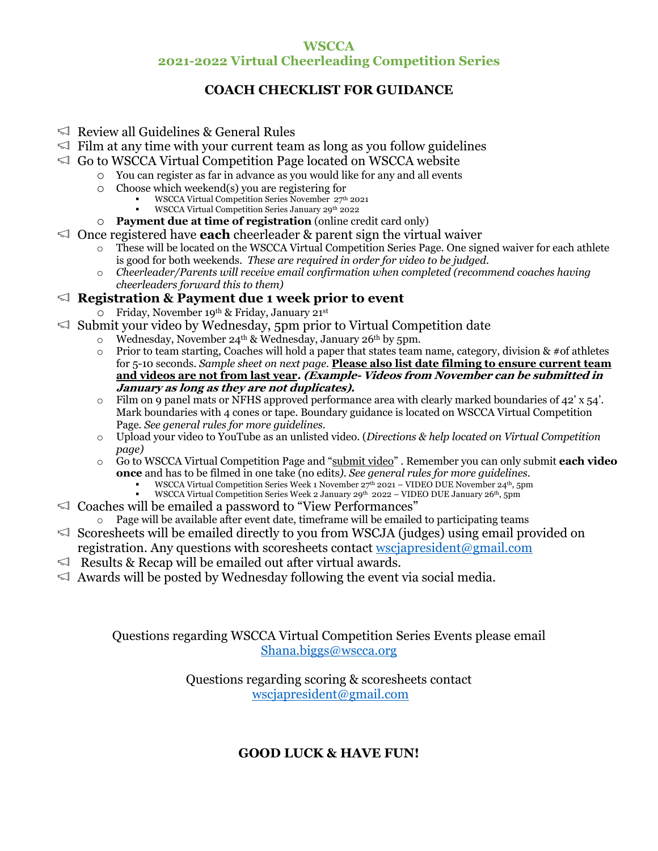## **WSCCA 2021-2022 Virtual Cheerleading Competition Series**

## **COACH CHECKLIST FOR GUIDANCE**

- $\leq$  Review all Guidelines & General Rules
- $\leq$  Film at any time with your current team as long as you follow guidelines
- $\leq$  Go to WSCCA Virtual Competition Page located on WSCCA website
	- o You can register as far in advance as you would like for any and all events
		- o Choose which weekend(s) you are registering for
			- WSCCA Virtual Competition Series November 27<sup>th</sup> 2021
			- § WSCCA Virtual Competition Series January 29th 2022
		- o **Payment due at time of registration** (online credit card only)
- Once registered have **each** cheerleader & parent sign the virtual waiver
	- These will be located on the WSCCA Virtual Competition Series Page. One signed waiver for each athlete is good for both weekends. *These are required in order for video to be judged.*
	- o *Cheerleader/Parents will receive email confirmation when completed (recommend coaches having cheerleaders forward this to them)*

## **Registration & Payment due 1 week prior to event**

- o Friday, November 19th & Friday, January 21st
- $\leq$  Submit your video by Wednesday, 5pm prior to Virtual Competition date
	- $\circ$  Wednesday, November 24<sup>th</sup> & Wednesday, January 26<sup>th</sup> by 5pm.
	- $\circ$  Prior to team starting, Coaches will hold a paper that states team name, category, division & #of athletes for 5-10 seconds. *Sample sheet on next page.* **Please also list date filming to ensure current team and videos are not from last year. (Example- Videos from November can be submitted in January as long as they are not duplicates).**
	- $\circ$  Film on 9 panel mats or NFHS approved performance area with clearly marked boundaries of 42' x 54'. Mark boundaries with 4 cones or tape. Boundary guidance is located on WSCCA Virtual Competition Page*. See general rules for more guidelines.*
	- o Upload your video to YouTube as an unlisted video. (*Directions & help located on Virtual Competition page)*
	- o Go to WSCCA Virtual Competition Page and "submit video" . Remember you can only submit **each video once** and has to be filmed in one take (no edits*). See general rules for more guidelines.*
		- **•** WSCCA Virtual Competition Series Week 1 November  $27<sup>th</sup>$  2021 VIDEO DUE November  $24<sup>th</sup>$ , 5pm
		- WSCCA Virtual Competition Series Week 2 January 29<sup>th</sup> 2022 VIDEO DUE January 26<sup>th</sup>, 5pm
- $\leq$  Coaches will be emailed a password to "View Performances"
	- o Page will be available after event date, timeframe will be emailed to participating teams
- $\leq$  Scoresheets will be emailed directly to you from WSCJA (judges) using email provided on registration. Any questions with scoresheets contact wsciapresident  $\omega$ gmail.com
- $\leq$  Results & Recap will be emailed out after virtual awards.
- $\leq$  Awards will be posted by Wednesday following the event via social media.

Questions regarding WSCCA Virtual Competition Series Events please email Shana.biggs@wscca.org

> Questions regarding scoring & scoresheets contact wscjapresident@gmail.com

## **GOOD LUCK & HAVE FUN!**